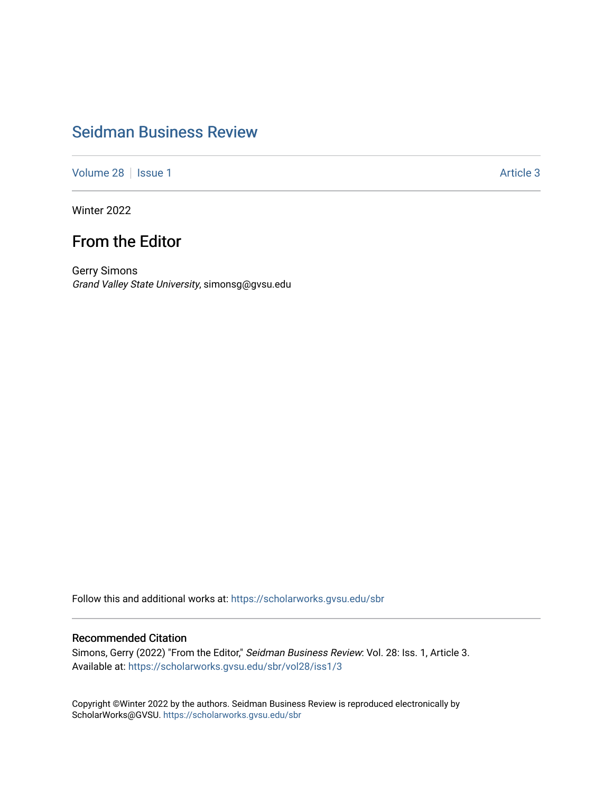## [Seidman Business Review](https://scholarworks.gvsu.edu/sbr)

[Volume 28](https://scholarworks.gvsu.edu/sbr/vol28) | [Issue 1](https://scholarworks.gvsu.edu/sbr/vol28/iss1) Article 3

Winter 2022

## From the Editor

Gerry Simons Grand Valley State University, simonsg@gvsu.edu

Follow this and additional works at: [https://scholarworks.gvsu.edu/sbr](https://scholarworks.gvsu.edu/sbr?utm_source=scholarworks.gvsu.edu%2Fsbr%2Fvol28%2Fiss1%2F3&utm_medium=PDF&utm_campaign=PDFCoverPages)

## Recommended Citation

Simons, Gerry (2022) "From the Editor," Seidman Business Review: Vol. 28: Iss. 1, Article 3. Available at: [https://scholarworks.gvsu.edu/sbr/vol28/iss1/3](https://scholarworks.gvsu.edu/sbr/vol28/iss1/3?utm_source=scholarworks.gvsu.edu%2Fsbr%2Fvol28%2Fiss1%2F3&utm_medium=PDF&utm_campaign=PDFCoverPages) 

Copyright ©Winter 2022 by the authors. Seidman Business Review is reproduced electronically by ScholarWorks@GVSU.<https://scholarworks.gvsu.edu/sbr>